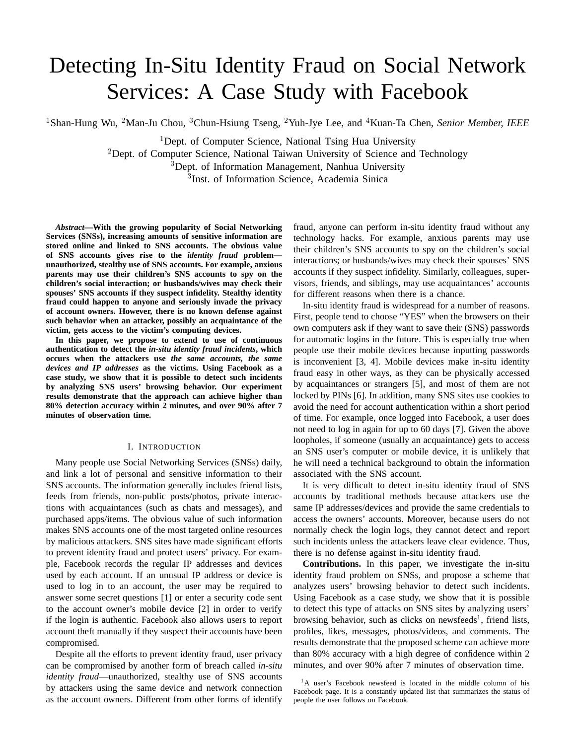# Detecting In-Situ Identity Fraud on Social Network Services: A Case Study with Facebook

<sup>1</sup>Shan-Hung Wu, <sup>2</sup>Man-Ju Chou, <sup>3</sup>Chun-Hsiung Tseng, <sup>2</sup>Yuh-Jye Lee, and <sup>4</sup>Kuan-Ta Chen, *Senior Member, IEEE* 

<sup>1</sup>Dept. of Computer Science, National Tsing Hua University

<sup>2</sup>Dept. of Computer Science, National Taiwan University of Science and Technology

<sup>3</sup>Dept. of Information Management, Nanhua University

<sup>3</sup>Inst. of Information Science, Academia Sinica

*Abstract***—With the growing popularity of Social Networking Services (SNSs), increasing amounts of sensitive information are stored online and linked to SNS accounts. The obvious value of SNS accounts gives rise to the** *identity fraud* **problem unauthorized, stealthy use of SNS accounts. For example, anxious parents may use their children's SNS accounts to spy on the children's social interaction; or husbands/wives may check their spouses' SNS accounts if they suspect infidelity. Stealthy identity fraud could happen to anyone and seriously invade the privacy of account owners. However, there is no known defense against such behavior when an attacker, possibly an acquaintance of the victim, gets access to the victim's computing devices.**

**In this paper, we propose to extend to use of continuous authentication to detect the** *in-situ identity fraud incidents***, which occurs when the attackers use** *the same accounts, the same devices and IP addresses* **as the victims. Using Facebook as a case study, we show that it is possible to detect such incidents by analyzing SNS users' browsing behavior. Our experiment results demonstrate that the approach can achieve higher than 80% detection accuracy within 2 minutes, and over 90% after 7 minutes of observation time.**

#### I. INTRODUCTION

Many people use Social Networking Services (SNSs) daily, and link a lot of personal and sensitive information to their SNS accounts. The information generally includes friend lists, feeds from friends, non-public posts/photos, private interactions with acquaintances (such as chats and messages), and purchased apps/items. The obvious value of such information makes SNS accounts one of the most targeted online resources by malicious attackers. SNS sites have made significant efforts to prevent identity fraud and protect users' privacy. For example, Facebook records the regular IP addresses and devices used by each account. If an unusual IP address or device is used to log in to an account, the user may be required to answer some secret questions [1] or enter a security code sent to the account owner's mobile device [2] in order to verify if the login is authentic. Facebook also allows users to report account theft manually if they suspect their accounts have been compromised.

Despite all the efforts to prevent identity fraud, user privacy can be compromised by another form of breach called *in-situ identity fraud*—unauthorized, stealthy use of SNS accounts by attackers using the same device and network connection as the account owners. Different from other forms of identify

fraud, anyone can perform in-situ identity fraud without any technology hacks. For example, anxious parents may use their children's SNS accounts to spy on the children's social interactions; or husbands/wives may check their spouses' SNS accounts if they suspect infidelity. Similarly, colleagues, supervisors, friends, and siblings, may use acquaintances' accounts for different reasons when there is a chance.

In-situ identity fraud is widespread for a number of reasons. First, people tend to choose "YES" when the browsers on their own computers ask if they want to save their (SNS) passwords for automatic logins in the future. This is especially true when people use their mobile devices because inputting passwords is inconvenient [3, 4]. Mobile devices make in-situ identity fraud easy in other ways, as they can be physically accessed by acquaintances or strangers [5], and most of them are not locked by PINs [6]. In addition, many SNS sites use cookies to avoid the need for account authentication within a short period of time. For example, once logged into Facebook, a user does not need to log in again for up to 60 days [7]. Given the above loopholes, if someone (usually an acquaintance) gets to access an SNS user's computer or mobile device, it is unlikely that he will need a technical background to obtain the information associated with the SNS account.

It is very difficult to detect in-situ identity fraud of SNS accounts by traditional methods because attackers use the same IP addresses/devices and provide the same credentials to access the owners' accounts. Moreover, because users do not normally check the login logs, they cannot detect and report such incidents unless the attackers leave clear evidence. Thus, there is no defense against in-situ identity fraud.

**Contributions.** In this paper, we investigate the in-situ identity fraud problem on SNSs, and propose a scheme that analyzes users' browsing behavior to detect such incidents. Using Facebook as a case study, we show that it is possible to detect this type of attacks on SNS sites by analyzing users' browsing behavior, such as clicks on newsfeeds<sup>1</sup>, friend lists, profiles, likes, messages, photos/videos, and comments. The results demonstrate that the proposed scheme can achieve more than 80% accuracy with a high degree of confidence within 2 minutes, and over 90% after 7 minutes of observation time.

<sup>1</sup>A user's Facebook newsfeed is located in the middle column of his Facebook page. It is a constantly updated list that summarizes the status of people the user follows on Facebook.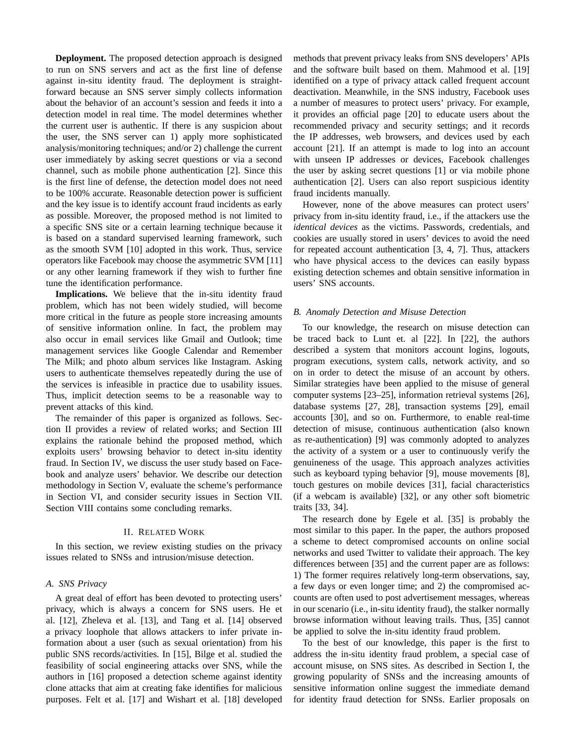**Deployment.** The proposed detection approach is designed to run on SNS servers and act as the first line of defense against in-situ identity fraud. The deployment is straightforward because an SNS server simply collects information about the behavior of an account's session and feeds it into a detection model in real time. The model determines whether the current user is authentic. If there is any suspicion about the user, the SNS server can 1) apply more sophisticated analysis/monitoring techniques; and/or 2) challenge the current user immediately by asking secret questions or via a second channel, such as mobile phone authentication [2]. Since this is the first line of defense, the detection model does not need to be 100% accurate. Reasonable detection power is sufficient and the key issue is to identify account fraud incidents as early as possible. Moreover, the proposed method is not limited to a specific SNS site or a certain learning technique because it is based on a standard supervised learning framework, such as the smooth SVM [10] adopted in this work. Thus, service operators like Facebook may choose the asymmetric SVM [11] or any other learning framework if they wish to further fine tune the identification performance.

**Implications.** We believe that the in-situ identity fraud problem, which has not been widely studied, will become more critical in the future as people store increasing amounts of sensitive information online. In fact, the problem may also occur in email services like Gmail and Outlook; time management services like Google Calendar and Remember The Milk; and photo album services like Instagram. Asking users to authenticate themselves repeatedly during the use of the services is infeasible in practice due to usability issues. Thus, implicit detection seems to be a reasonable way to prevent attacks of this kind.

The remainder of this paper is organized as follows. Section II provides a review of related works; and Section III explains the rationale behind the proposed method, which exploits users' browsing behavior to detect in-situ identity fraud. In Section IV, we discuss the user study based on Facebook and analyze users' behavior. We describe our detection methodology in Section V, evaluate the scheme's performance in Section VI, and consider security issues in Section VII. Section VIII contains some concluding remarks.

# II. RELATED WORK

In this section, we review existing studies on the privacy issues related to SNSs and intrusion/misuse detection.

# *A. SNS Privacy*

A great deal of effort has been devoted to protecting users' privacy, which is always a concern for SNS users. He et al. [12], Zheleva et al. [13], and Tang et al. [14] observed a privacy loophole that allows attackers to infer private information about a user (such as sexual orientation) from his public SNS records/activities. In [15], Bilge et al. studied the feasibility of social engineering attacks over SNS, while the authors in [16] proposed a detection scheme against identity clone attacks that aim at creating fake identifies for malicious purposes. Felt et al. [17] and Wishart et al. [18] developed methods that prevent privacy leaks from SNS developers' APIs and the software built based on them. Mahmood et al. [19] identified on a type of privacy attack called frequent account deactivation. Meanwhile, in the SNS industry, Facebook uses a number of measures to protect users' privacy. For example, it provides an official page [20] to educate users about the recommended privacy and security settings; and it records the IP addresses, web browsers, and devices used by each account [21]. If an attempt is made to log into an account with unseen IP addresses or devices, Facebook challenges the user by asking secret questions [1] or via mobile phone authentication [2]. Users can also report suspicious identity fraud incidents manually.

However, none of the above measures can protect users' privacy from in-situ identity fraud, i.e., if the attackers use the *identical devices* as the victims. Passwords, credentials, and cookies are usually stored in users' devices to avoid the need for repeated account authentication [3, 4, 7]. Thus, attackers who have physical access to the devices can easily bypass existing detection schemes and obtain sensitive information in users' SNS accounts.

#### *B. Anomaly Detection and Misuse Detection*

To our knowledge, the research on misuse detection can be traced back to Lunt et. al [22]. In [22], the authors described a system that monitors account logins, logouts, program executions, system calls, network activity, and so on in order to detect the misuse of an account by others. Similar strategies have been applied to the misuse of general computer systems [23–25], information retrieval systems [26], database systems [27, 28], transaction systems [29], email accounts [30], and so on. Furthermore, to enable real-time detection of misuse, continuous authentication (also known as re-authentication) [9] was commonly adopted to analyzes the activity of a system or a user to continuously verify the genuineness of the usage. This approach analyzes activities such as keyboard typing behavior [9], mouse movements [8], touch gestures on mobile devices [31], facial characteristics (if a webcam is available) [32], or any other soft biometric traits [33, 34].

The research done by Egele et al. [35] is probably the most similar to this paper. In the paper, the authors proposed a scheme to detect compromised accounts on online social networks and used Twitter to validate their approach. The key differences between [35] and the current paper are as follows: 1) The former requires relatively long-term observations, say, a few days or even longer time; and 2) the compromised accounts are often used to post advertisement messages, whereas in our scenario (i.e., in-situ identity fraud), the stalker normally browse information without leaving trails. Thus, [35] cannot be applied to solve the in-situ identity fraud problem.

To the best of our knowledge, this paper is the first to address the in-situ identity fraud problem, a special case of account misuse, on SNS sites. As described in Section I, the growing popularity of SNSs and the increasing amounts of sensitive information online suggest the immediate demand for identity fraud detection for SNSs. Earlier proposals on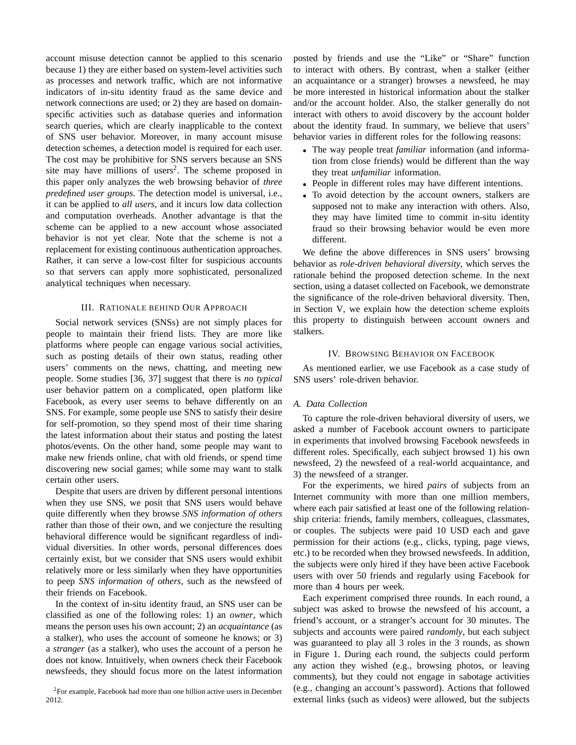account misuse detection cannot be applied to this scenario because 1) they are either based on system-level activities such as processes and network traffic, which are not informative indicators of in-situ identity fraud as the same device and network connections are used; or 2) they are based on domainspecific activities such as database queries and information search queries, which are clearly inapplicable to the context of SNS user behavior. Moreover, in many account misuse detection schemes, a detection model is required for each user. The cost may be prohibitive for SNS servers because an SNS site may have millions of users<sup>2</sup>. The scheme proposed in this paper only analyzes the web browsing behavior of *three predefined user groups*. The detection model is universal, i.e., it can be applied to *all users*, and it incurs low data collection and computation overheads. Another advantage is that the scheme can be applied to a new account whose associated behavior is not yet clear. Note that the scheme is not a replacement for existing continuous authentication approaches. Rather, it can serve a low-cost filter for suspicious accounts so that servers can apply more sophisticated, personalized analytical techniques when necessary.

# III. RATIONALE BEHIND OUR APPROACH

Social network services (SNSs) are not simply places for people to maintain their friend lists. They are more like platforms where people can engage various social activities, such as posting details of their own status, reading other users' comments on the news, chatting, and meeting new people. Some studies [36, 37] suggest that there is *no typical* user behavior pattern on a complicated, open platform like Facebook, as every user seems to behave differently on an SNS. For example, some people use SNS to satisfy their desire for self-promotion, so they spend most of their time sharing the latest information about their status and posting the latest photos/events. On the other hand, some people may want to make new friends online, chat with old friends, or spend time discovering new social games; while some may want to stalk certain other users.

Despite that users are driven by different personal intentions when they use SNS, we posit that SNS users would behave quite differently when they browse *SNS information of others* rather than those of their own, and we conjecture the resulting behavioral difference would be significant regardless of individual diversities. In other words, personal differences does certainly exist, but we consider that SNS users would exhibit relatively more or less similarly when they have opportunities to peep *SNS information of others*, such as the newsfeed of their friends on Facebook.

In the context of in-situ identity fraud, an SNS user can be classified as one of the following roles: 1) an *owner*, which means the person uses his own account; 2) an *acquaintance* (as a stalker), who uses the account of someone he knows; or 3) a *stranger* (as a stalker), who uses the account of a person he does not know. Intuitively, when owners check their Facebook newsfeeds, they should focus more on the latest information

posted by friends and use the "Like" or "Share" function to interact with others. By contrast, when a stalker (either an acquaintance or a stranger) browses a newsfeed, he may be more interested in historical information about the stalker and/or the account holder. Also, the stalker generally do not interact with others to avoid discovery by the account holder about the identity fraud. In summary, we believe that users' behavior varies in different roles for the following reasons:

- The way people treat *familiar* information (and information from close friends) would be different than the way they treat *unfamiliar* information.
- People in different roles may have different intentions.
- To avoid detection by the account owners, stalkers are supposed not to make any interaction with others. Also, they may have limited time to commit in-situ identity fraud so their browsing behavior would be even more different.

We define the above differences in SNS users' browsing behavior as *role-driven behavioral diversity*, which serves the rationale behind the proposed detection scheme. In the next section, using a dataset collected on Facebook, we demonstrate the significance of the role-driven behavioral diversity. Then, in Section V, we explain how the detection scheme exploits this property to distinguish between account owners and stalkers.

## IV. BROWSING BEHAVIOR ON FACEBOOK

As mentioned earlier, we use Facebook as a case study of SNS users' role-driven behavior.

#### *A. Data Collection*

To capture the role-driven behavioral diversity of users, we asked a number of Facebook account owners to participate in experiments that involved browsing Facebook newsfeeds in different roles. Specifically, each subject browsed 1) his own newsfeed, 2) the newsfeed of a real-world acquaintance, and 3) the newsfeed of a stranger.

For the experiments, we hired *pairs* of subjects from an Internet community with more than one million members, where each pair satisfied at least one of the following relationship criteria: friends, family members, colleagues, classmates, or couples. The subjects were paid 10 USD each and gave permission for their actions (e.g., clicks, typing, page views, etc.) to be recorded when they browsed newsfeeds. In addition, the subjects were only hired if they have been active Facebook users with over 50 friends and regularly using Facebook for more than 4 hours per week.

Each experiment comprised three rounds. In each round, a subject was asked to browse the newsfeed of his account, a friend's account, or a stranger's account for 30 minutes. The subjects and accounts were paired *randomly*, but each subject was guaranteed to play all 3 roles in the 3 rounds, as shown in Figure 1. During each round, the subjects could perform any action they wished (e.g., browsing photos, or leaving comments), but they could not engage in sabotage activities (e.g., changing an account's password). Actions that followed external links (such as videos) were allowed, but the subjects

<sup>2</sup>For example, Facebook had more than one billion active users in December 2012.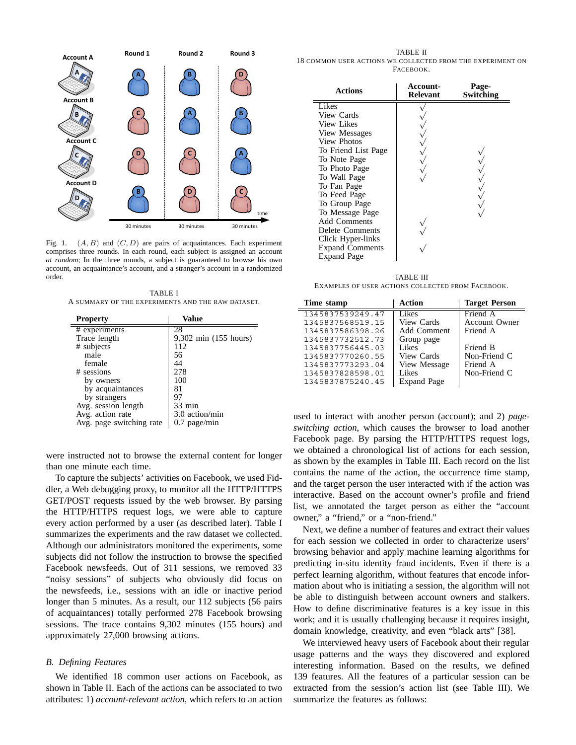

Fig. 1. (*A, B*) and (*C, D*) are pairs of acquaintances. Each experiment comprises three rounds. In each round, each subject is assigned an account *at random*; In the three rounds, a subject is guaranteed to browse his own account, an acquaintance's account, and a stranger's account in a randomized order.

TABLE I A SUMMARY OF THE EXPERIMENTS AND THE RAW DATASET.

| <b>Property</b>          | Value                 |
|--------------------------|-----------------------|
| $#$ experiments          | 28                    |
| Trace length             | 9,302 min (155 hours) |
| # subjects               | 112                   |
| male                     | 56                    |
| female                   | 44                    |
| # sessions               | 278                   |
| by owners                | 100                   |
| by acquaintances         | 81                    |
| by strangers             | 97                    |
| Avg. session length      | $33 \text{ min}$      |
| Avg. action rate         | 3.0 action/min        |
| Avg. page switching rate | $0.7$ page/min        |

were instructed not to browse the external content for longer than one minute each time.

To capture the subjects' activities on Facebook, we used Fiddler, a Web debugging proxy, to monitor all the HTTP/HTTPS GET/POST requests issued by the web browser. By parsing the HTTP/HTTPS request logs, we were able to capture every action performed by a user (as described later). Table I summarizes the experiments and the raw dataset we collected. Although our administrators monitored the experiments, some subjects did not follow the instruction to browse the specified Facebook newsfeeds. Out of 311 sessions, we removed 33 "noisy sessions" of subjects who obviously did focus on the newsfeeds, i.e., sessions with an idle or inactive period longer than 5 minutes. As a result, our 112 subjects (56 pairs of acquaintances) totally performed 278 Facebook browsing sessions. The trace contains 9,302 minutes (155 hours) and approximately 27,000 browsing actions.

# *B. Defining Features*

We identified 18 common user actions on Facebook, as shown in Table II. Each of the actions can be associated to two attributes: 1) *account-relevant action*, which refers to an action

TABLE II 18 COMMON USER ACTIONS WE COLLECTED FROM THE EXPERIMENT ON FACEBOOK.

| Actions                | <b>Account-</b><br><b>Relevant</b> | Page-<br>Switching |
|------------------------|------------------------------------|--------------------|
| Likes                  |                                    |                    |
| View Cards             |                                    |                    |
| <b>View Likes</b>      |                                    |                    |
| <b>View Messages</b>   |                                    |                    |
| <b>View Photos</b>     |                                    |                    |
| To Friend List Page    |                                    |                    |
| To Note Page           |                                    |                    |
| To Photo Page          |                                    |                    |
| To Wall Page           |                                    |                    |
| To Fan Page            |                                    |                    |
| To Feed Page           |                                    |                    |
| To Group Page          |                                    |                    |
| To Message Page        |                                    |                    |
| <b>Add Comments</b>    |                                    |                    |
| Delete Comments        |                                    |                    |
| Click Hyper-links      |                                    |                    |
| <b>Expand Comments</b> |                                    |                    |
| <b>Expand Page</b>     |                                    |                    |

TABLE III EXAMPLES OF USER ACTIONS COLLECTED FROM FACEBOOK.

| Time stamp       | <b>Action</b>      | <b>Target Person</b> |
|------------------|--------------------|----------------------|
| 1345837539249.47 | Likes              | Friend A             |
| 1345837568519.15 | View Cards         | Account Owner        |
| 1345837586398.26 | Add Comment        | Friend A             |
| 1345837732512.73 | Group page         |                      |
| 1345837756445.03 | Likes              | Friend B             |
| 1345837770260.55 | View Cards         | Non-Friend C         |
| 1345837773293.04 | View Message       | Friend A             |
| 1345837828598.01 | Likes              | Non-Friend C         |
| 1345837875240.45 | <b>Expand Page</b> |                      |

used to interact with another person (account); and 2) *pageswitching action*, which causes the browser to load another Facebook page. By parsing the HTTP/HTTPS request logs, we obtained a chronological list of actions for each session, as shown by the examples in Table III. Each record on the list contains the name of the action, the occurrence time stamp, and the target person the user interacted with if the action was interactive. Based on the account owner's profile and friend list, we annotated the target person as either the "account owner," a "friend," or a "non-friend."

Next, we define a number of features and extract their values for each session we collected in order to characterize users' browsing behavior and apply machine learning algorithms for predicting in-situ identity fraud incidents. Even if there is a perfect learning algorithm, without features that encode information about who is initiating a session, the algorithm will not be able to distinguish between account owners and stalkers. How to define discriminative features is a key issue in this work; and it is usually challenging because it requires insight, domain knowledge, creativity, and even "black arts" [38].

We interviewed heavy users of Facebook about their regular usage patterns and the ways they discovered and explored interesting information. Based on the results, we defined 139 features. All the features of a particular session can be extracted from the session's action list (see Table III). We summarize the features as follows: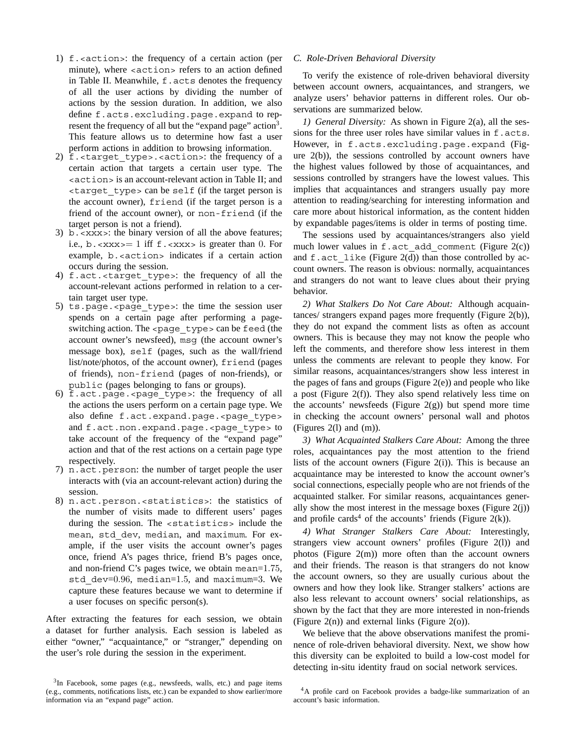- 1) f.<action>: the frequency of a certain action (per minute), where <action> refers to an action defined in Table II. Meanwhile, f.acts denotes the frequency of all the user actions by dividing the number of actions by the session duration. In addition, we also define f.acts.excluding.page.expand to represent the frequency of all but the "expand page" action<sup>3</sup>. This feature allows us to determine how fast a user perform actions in addition to browsing information.
- 2)  $\bar{f}$ .<target type>.<action>: the frequency of a certain action that targets a certain user type. The  $\epsilon$  action  $\epsilon$  is an account-relevant action in Table II; and <target\_type> can be self (if the target person is the account owner), friend (if the target person is a friend of the account owner), or non-friend (if the target person is not a friend).
- 3) b.  $\overline{\text{exxx}}$ : the binary version of all the above features; i.e., b.  $\langle$ xxx $\rangle$  = 1 iff f.  $\langle$ xxx $\rangle$  is greater than 0. For example, b. < action> indicates if a certain action occurs during the session.
- 4) f.act.<target type>: the frequency of all the account-relevant actions performed in relation to a certain target user type.
- 5) ts.page.<page\_type>: the time the session user spends on a certain page after performing a pageswitching action. The <page\_type> can be feed (the account owner's newsfeed), msg (the account owner's message box), self (pages, such as the wall/friend list/note/photos, of the account owner), friend (pages of friends), non-friend (pages of non-friends), or public (pages belonging to fans or groups).
- 6)  $\bar{f}$  act.page.<page type>: the frequency of all the actions the users perform on a certain page type. We also define f.act.expand.page.<page type> and f.act.non.expand.page.<page type> to take account of the frequency of the "expand page" action and that of the rest actions on a certain page type respectively.
- 7) n.act.person: the number of target people the user interacts with (via an account-relevant action) during the session.
- 8) n.act.person.<statistics>: the statistics of the number of visits made to different users' pages during the session. The <statistics> include the mean, std\_dev, median, and maximum. For example, if the user visits the account owner's pages once, friend A's pages thrice, friend B's pages once, and non-friend C's pages twice, we obtain mean=1.75, std\_dev=0.96, median=1.5, and maximum=3. We capture these features because we want to determine if a user focuses on specific person(s).

After extracting the features for each session, we obtain a dataset for further analysis. Each session is labeled as either "owner," "acquaintance," or "stranger," depending on the user's role during the session in the experiment.

## *C. Role-Driven Behavioral Diversity*

To verify the existence of role-driven behavioral diversity between account owners, acquaintances, and strangers, we analyze users' behavior patterns in different roles. Our observations are summarized below.

*1) General Diversity:* As shown in Figure 2(a), all the sessions for the three user roles have similar values in  $f$ .acts. However, in f.acts.excluding.page.expand (Figure  $2(b)$ ), the sessions controlled by account owners have the highest values followed by those of acquaintances, and sessions controlled by strangers have the lowest values. This implies that acquaintances and strangers usually pay more attention to reading/searching for interesting information and care more about historical information, as the content hidden by expandable pages/items is older in terms of posting time.

The sessions used by acquaintances/strangers also yield much lower values in  $f$ .act add comment (Figure 2(c)) and  $f$  act like (Figure 2(d)) than those controlled by account owners. The reason is obvious: normally, acquaintances and strangers do not want to leave clues about their prying behavior.

*2) What Stalkers Do Not Care About:* Although acquaintances/ strangers expand pages more frequently (Figure 2(b)), they do not expand the comment lists as often as account owners. This is because they may not know the people who left the comments, and therefore show less interest in them unless the comments are relevant to people they know. For similar reasons, acquaintances/strangers show less interest in the pages of fans and groups (Figure  $2(e)$ ) and people who like a post (Figure  $2(f)$ ). They also spend relatively less time on the accounts' newsfeeds (Figure  $2(g)$ ) but spend more time in checking the account owners' personal wall and photos (Figures 2(l) and (m)).

*3) What Acquainted Stalkers Care About:* Among the three roles, acquaintances pay the most attention to the friend lists of the account owners (Figure  $2(i)$ ). This is because an acquaintance may be interested to know the account owner's social connections, especially people who are not friends of the acquainted stalker. For similar reasons, acquaintances generally show the most interest in the message boxes (Figure  $2(j)$ ) and profile cards<sup>4</sup> of the accounts' friends (Figure 2(k)).

*4) What Stranger Stalkers Care About:* Interestingly, strangers view account owners' profiles (Figure 2(l)) and photos (Figure  $2(m)$ ) more often than the account owners and their friends. The reason is that strangers do not know the account owners, so they are usually curious about the owners and how they look like. Stranger stalkers' actions are also less relevant to account owners' social relationships, as shown by the fact that they are more interested in non-friends (Figure 2(n)) and external links (Figure 2(o)).

We believe that the above observations manifest the prominence of role-driven behavioral diversity. Next, we show how this diversity can be exploited to build a low-cost model for detecting in-situ identity fraud on social network services.

<sup>&</sup>lt;sup>3</sup>In Facebook, some pages (e.g., newsfeeds, walls, etc.) and page items (e.g., comments, notifications lists, etc.) can be expanded to show earlier/more information via an "expand page" action.

<sup>4</sup>A profile card on Facebook provides a badge-like summarization of an account's basic information.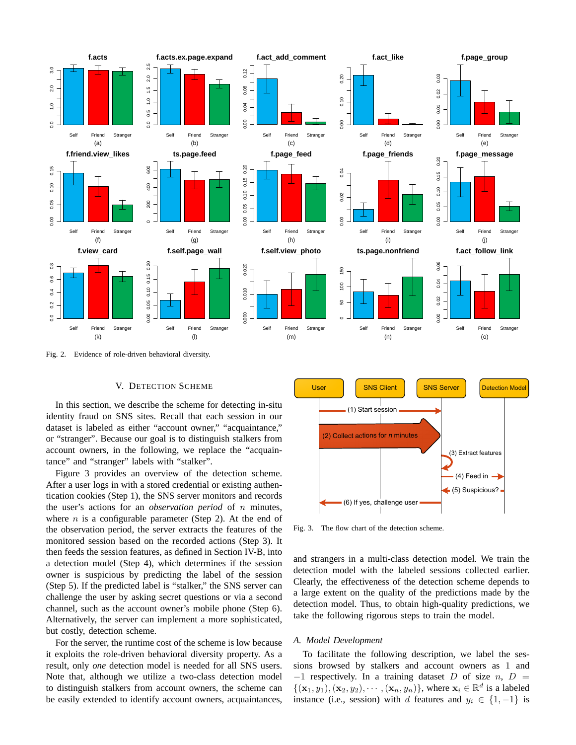

Fig. 2. Evidence of role-driven behavioral diversity.

# V. DETECTION SCHEME

In this section, we describe the scheme for detecting in-situ identity fraud on SNS sites. Recall that each session in our dataset is labeled as either "account owner," "acquaintance," or "stranger". Because our goal is to distinguish stalkers from account owners, in the following, we replace the "acquaintance" and "stranger" labels with "stalker".

Figure 3 provides an overview of the detection scheme. After a user logs in with a stored credential or existing authentication cookies (Step 1), the SNS server monitors and records the user's actions for an *observation period* of n minutes, where  $n$  is a configurable parameter (Step 2). At the end of the observation period, the server extracts the features of the monitored session based on the recorded actions (Step 3). It then feeds the session features, as defined in Section IV-B, into a detection model (Step 4), which determines if the session owner is suspicious by predicting the label of the session (Step 5). If the predicted label is "stalker," the SNS server can challenge the user by asking secret questions or via a second channel, such as the account owner's mobile phone (Step 6). Alternatively, the server can implement a more sophisticated, but costly, detection scheme.

For the server, the runtime cost of the scheme is low because it exploits the role-driven behavioral diversity property. As a result, only *one* detection model is needed for all SNS users. Note that, although we utilize a two-class detection model to distinguish stalkers from account owners, the scheme can be easily extended to identify account owners, acquaintances,



Fig. 3. The flow chart of the detection scheme.

and strangers in a multi-class detection model. We train the detection model with the labeled sessions collected earlier. Clearly, the effectiveness of the detection scheme depends to a large extent on the quality of the predictions made by the detection model. Thus, to obtain high-quality predictions, we take the following rigorous steps to train the model.

## *A. Model Development*

To facilitate the following description, we label the sessions browsed by stalkers and account owners as 1 and  $-1$  respectively. In a training dataset D of size  $n, D =$  $\{(\mathbf{x}_1, y_1), (\mathbf{x}_2, y_2), \cdots, (\mathbf{x}_n, y_n)\}\)$ , where  $\mathbf{x}_i \in \mathbb{R}^d$  is a labeled instance (i.e., session) with d features and  $y_i \in \{1, -1\}$  is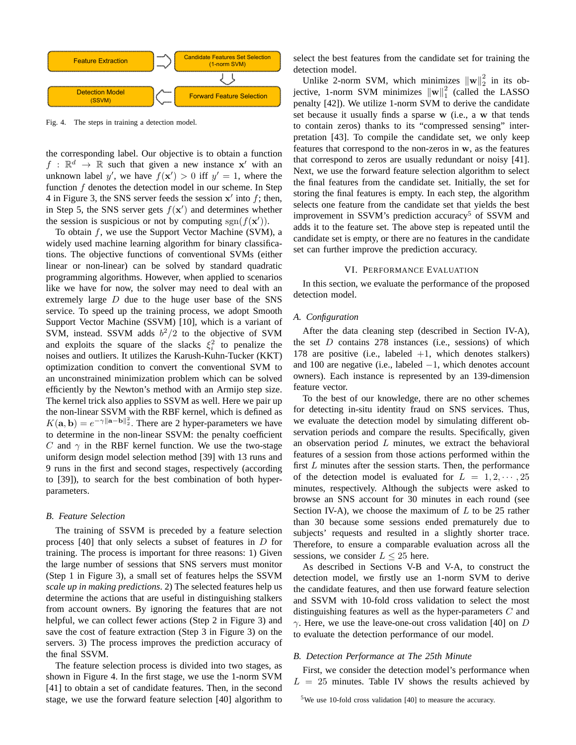

Fig. 4. The steps in training a detection model.

the corresponding label. Our objective is to obtain a function  $f : \mathbb{R}^d \to \mathbb{R}$  such that given a new instance **x**' with an unknown label  $y'$  we have  $f(x') > 0$  iff  $y' = 1$  where the unknown label y', we have  $f(x') > 0$  iff  $y' = 1$ , where the function f denotes the detection model in our scheme. In Step function  $f$  denotes the detection model in our scheme. In Step 4 in Figure 3, the SNS server feeds the session  $x'$  into  $f$ ; then, in Step 5, the SNS server gets  $f(\mathbf{x}')$  and determines whether<br>the session is suspicious or not by computing son( $f(\mathbf{x}')$ ) the session is suspicious or not by computing  $sgn(f(\mathbf{x}'))$ .<br>
To obtain f, we use the Support Vector Machine (SVM)

To obtain  $f$ , we use the Support Vector Machine (SVM), a widely used machine learning algorithm for binary classifications. The objective functions of conventional SVMs (either linear or non-linear) can be solved by standard quadratic programming algorithms. However, when applied to scenarios like we have for now, the solver may need to deal with an extremely large D due to the huge user base of the SNS service. To speed up the training process, we adopt Smooth Support Vector Machine (SSVM) [10], which is a variant of SVM, instead. SSVM adds  $b^2/2$  to the objective of SVM and exploits the square of the slacks  $\xi_i^2$  to penalize the noises and outliers. It utilizes the Karush-Kuhn-Tucker (KKT) optimization condition to convert the conventional SVM to an unconstrained minimization problem which can be solved efficiently by the Newton's method with an Armijo step size. The kernel trick also applies to SSVM as well. Here we pair up the non-linear SSVM with the RBF kernel, which is defined as  $K(\mathbf{a}, \mathbf{b}) = e^{-\gamma ||\mathbf{a} - \mathbf{b}||_2^2}$ . There are 2 hyper-parameters we have to determine in the non-linear SSVM: the penalty coefficient C and  $\gamma$  in the RBF kernel function. We use the two-stage uniform design model selection method [39] with 13 runs and 9 runs in the first and second stages, respectively (according to [39]), to search for the best combination of both hyperparameters.

#### *B. Feature Selection*

The training of SSVM is preceded by a feature selection process [40] that only selects a subset of features in D for training. The process is important for three reasons: 1) Given the large number of sessions that SNS servers must monitor (Step 1 in Figure 3), a small set of features helps the SSVM *scale up in making predictions*. 2) The selected features help us determine the actions that are useful in distinguishing stalkers from account owners. By ignoring the features that are not helpful, we can collect fewer actions (Step 2 in Figure 3) and save the cost of feature extraction (Step 3 in Figure 3) on the servers. 3) The process improves the prediction accuracy of the final SSVM.

The feature selection process is divided into two stages, as shown in Figure 4. In the first stage, we use the 1-norm SVM [41] to obtain a set of candidate features. Then, in the second stage, we use the forward feature selection [40] algorithm to select the best features from the candidate set for training the detection model.

Unlike 2-norm SVM, which minimizes  $\|\mathbf{w}\|_2^2$  in its objective, 1-norm SVM minimizes  $\|\mathbf{w}\|_1^2$  (called the LASSO penalty [42]). We utilize 1-norm SVM to derive the candidate set because it usually finds a sparse **w** (i.e., a **w** that tends to contain zeros) thanks to its "compressed sensing" interpretation [43]. To compile the candidate set, we only keep features that correspond to the non-zeros in **w**, as the features that correspond to zeros are usually redundant or noisy [41]. Next, we use the forward feature selection algorithm to select the final features from the candidate set. Initially, the set for storing the final features is empty. In each step, the algorithm selects one feature from the candidate set that yields the best improvement in SSVM's prediction accuracy<sup>5</sup> of SSVM and adds it to the feature set. The above step is repeated until the candidate set is empty, or there are no features in the candidate set can further improve the prediction accuracy.

#### VI. PERFORMANCE EVALUATION

In this section, we evaluate the performance of the proposed detection model.

#### *A. Configuration*

After the data cleaning step (described in Section IV-A), the set  $D$  contains 278 instances (i.e., sessions) of which 178 are positive (i.e., labeled  $+1$ , which denotes stalkers) and 100 are negative (i.e., labeled  $-1$ , which denotes account owners). Each instance is represented by an 139-dimension feature vector.

To the best of our knowledge, there are no other schemes for detecting in-situ identity fraud on SNS services. Thus, we evaluate the detection model by simulating different observation periods and compare the results. Specifically, given an observation period  $L$  minutes, we extract the behavioral features of a session from those actions performed within the first  $L$  minutes after the session starts. Then, the performance of the detection model is evaluated for  $L = 1, 2, \cdots, 25$ minutes, respectively. Although the subjects were asked to browse an SNS account for 30 minutes in each round (see Section IV-A), we choose the maximum of  $L$  to be 25 rather than 30 because some sessions ended prematurely due to subjects' requests and resulted in a slightly shorter trace. Therefore, to ensure a comparable evaluation across all the sessions, we consider  $L \leq 25$  here.

As described in Sections V-B and V-A, to construct the detection model, we firstly use an 1-norm SVM to derive the candidate features, and then use forward feature selection and SSVM with 10-fold cross validation to select the most distinguishing features as well as the hyper-parameters C and  $\gamma$ . Here, we use the leave-one-out cross validation [40] on D to evaluate the detection performance of our model.

## *B. Detection Performance at The 25th Minute*

First, we consider the detection model's performance when  $L = 25$  minutes. Table IV shows the results achieved by

<sup>&</sup>lt;sup>5</sup>We use 10-fold cross validation [40] to measure the accuracy.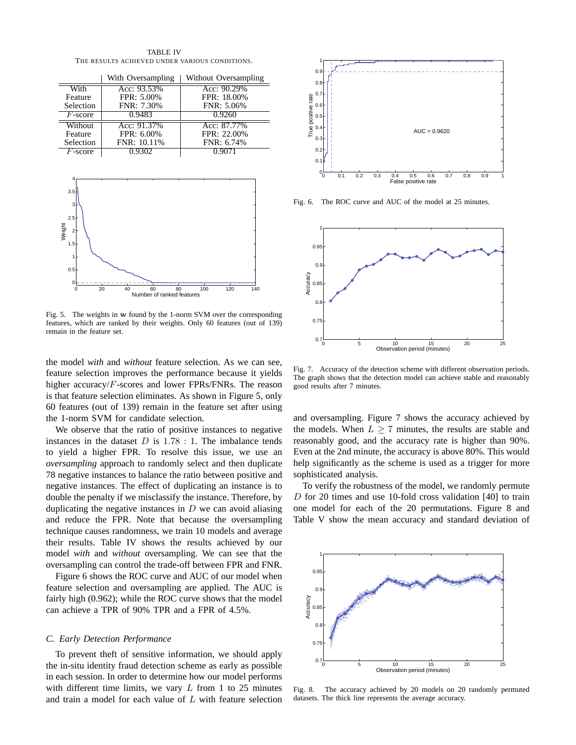|            | With Oversampling | Without Oversampling |
|------------|-------------------|----------------------|
| With       | Acc: 93.53%       | Acc: $90.29\%$       |
| Feature    | FPR: 5.00%        | FPR: 18.00%          |
| Selection  | FNR: 7.30%        | FNR: 5.06%           |
| $F$ -score | 0.9483            | 0.9260               |
| Without    | Acc: 91.37%       | Acc: 87.77%          |
| Feature    | $FPR: 6.00\%$     | FPR: 22.00%          |
| Selection  | FNR: 10.11%       | FNR: 6.74%           |
| $F$ -score | 0.9302            |                      |

TABLE IV THE RESULTS ACHIEVED UNDER VARIOUS CONDITIONS.



Fig. 5. The weights in **w** found by the 1-norm SVM over the corresponding features, which are ranked by their weights. Only 60 features (out of 139) remain in the feature set.

the model *with* and *without* feature selection. As we can see, feature selection improves the performance because it yields higher accuracy/ $F$ -scores and lower FPRs/FNRs. The reason is that feature selection eliminates. As shown in Figure 5, only 60 features (out of 139) remain in the feature set after using the 1-norm SVM for candidate selection.

We observe that the ratio of positive instances to negative instances in the dataset  $D$  is  $1.78:1$ . The imbalance tends to yield a higher FPR. To resolve this issue, we use an *oversampling* approach to randomly select and then duplicate 78 negative instances to balance the ratio between positive and negative instances. The effect of duplicating an instance is to double the penalty if we misclassify the instance. Therefore, by duplicating the negative instances in  $D$  we can avoid aliasing and reduce the FPR. Note that because the oversampling technique causes randomness, we train 10 models and average their results. Table IV shows the results achieved by our model *with* and *without* oversampling. We can see that the oversampling can control the trade-off between FPR and FNR.

Figure 6 shows the ROC curve and AUC of our model when feature selection and oversampling are applied. The AUC is fairly high (0.962); while the ROC curve shows that the model can achieve a TPR of 90% TPR and a FPR of 4.5%.

#### *C. Early Detection Performance*

To prevent theft of sensitive information, we should apply the in-situ identity fraud detection scheme as early as possible in each session. In order to determine how our model performs with different time limits, we vary  $L$  from 1 to 25 minutes and train a model for each value of  $L$  with feature selection



Fig. 6. The ROC curve and AUC of the model at 25 minutes.



Fig. 7. Accuracy of the detection scheme with different observation periods. The graph shows that the detection model can achieve stable and reasonably good results after 7 minutes.

and oversampling. Figure 7 shows the accuracy achieved by the models. When  $L \geq 7$  minutes, the results are stable and reasonably good, and the accuracy rate is higher than 90%. Even at the 2nd minute, the accuracy is above 80%. This would help significantly as the scheme is used as a trigger for more sophisticated analysis.

To verify the robustness of the model, we randomly permute D for 20 times and use 10-fold cross validation [40] to train one model for each of the 20 permutations. Figure 8 and Table V show the mean accuracy and standard deviation of



Fig. 8. The accuracy achieved by 20 models on 20 randomly permuted datasets. The thick line represents the average accuracy.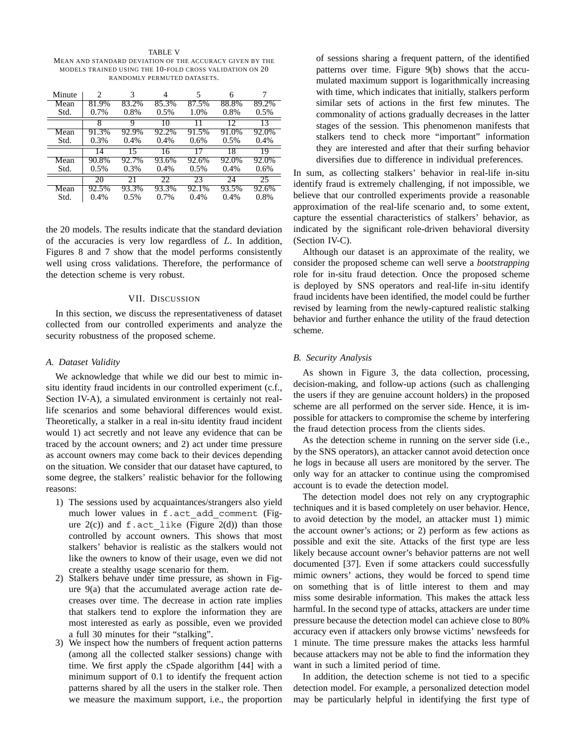TABLE V MEAN AND STANDARD DEVIATION OF THE ACCURACY GIVEN BY THE MODELS TRAINED USING THE 10-FOLD CROSS VALIDATION ON 20 RANDOMLY PERMUTED DATASETS.

| Minute | 2     | 3     | 4       | 5     | 6     |         |
|--------|-------|-------|---------|-------|-------|---------|
| Mean   | 81.9% | 83.2% | 85.3%   | 87.5% | 88.8% | 89.2%   |
| Std.   | 0.7%  | 0.8%  | 0.5%    | 1.0%  | 0.8%  | 0.5%    |
|        | 8     | 9     | 10      |       | 12    | 13      |
| Mean   | 91.3% | 92.9% | 92.2%   | 91.5% | 91.0% | 92.0%   |
| Std.   | 0.3%  | 0.4%  | $0.4\%$ | 0.6%  | 0.5%  | $0.4\%$ |
|        |       |       |         |       |       |         |
|        | 14    | 15    | 16      |       | 18    | 19      |
| Mean   | 90.8% | 92.7% | 93.6%   | 92.6% | 92.0% | 92.0%   |
| Std.   | 0.5%  | 0.3%  | $0.4\%$ | 0.5%  | 0.4%  | 0.6%    |
|        | 20    | 21    | 22      | 23    | 24    | 25      |
| Mean   | 92.5% | 93.3% | 93.3%   | 92.1% | 93.5% | 92.6%   |

the 20 models. The results indicate that the standard deviation of the accuracies is very low regardless of L. In addition, Figures 8 and 7 show that the model performs consistently well using cross validations. Therefore, the performance of the detection scheme is very robust.

## VII. DISCUSSION

In this section, we discuss the representativeness of dataset collected from our controlled experiments and analyze the security robustness of the proposed scheme.

# *A. Dataset Validity*

We acknowledge that while we did our best to mimic insitu identity fraud incidents in our controlled experiment (c.f., Section IV-A), a simulated environment is certainly not reallife scenarios and some behavioral differences would exist. Theoretically, a stalker in a real in-situ identity fraud incident would 1) act secretly and not leave any evidence that can be traced by the account owners; and 2) act under time pressure as account owners may come back to their devices depending on the situation. We consider that our dataset have captured, to some degree, the stalkers' realistic behavior for the following reasons:

- 1) The sessions used by acquaintances/strangers also yield much lower values in f.act add comment (Figure  $2(c)$ ) and f.act like (Figure  $2(d)$ ) than those controlled by account owners. This shows that most stalkers' behavior is realistic as the stalkers would not like the owners to know of their usage, even we did not create a stealthy usage scenario for them.
- 2) Stalkers behave under time pressure, as shown in Figure 9(a) that the accumulated average action rate decreases over time. The decrease in action rate implies that stalkers tend to explore the information they are most interested as early as possible, even we provided a full 30 minutes for their "stalking".
- 3) We inspect how the numbers of frequent action patterns (among all the collected stalker sessions) change with time. We first apply the cSpade algorithm [44] with a minimum support of 0.1 to identify the frequent action patterns shared by all the users in the stalker role. Then we measure the maximum support, i.e., the proportion

of sessions sharing a frequent pattern, of the identified patterns over time. Figure 9(b) shows that the accumulated maximum support is logarithmically increasing with time, which indicates that initially, stalkers perform similar sets of actions in the first few minutes. The commonality of actions gradually decreases in the latter stages of the session. This phenomenon manifests that stalkers tend to check more "important" information they are interested and after that their surfing behavior diversifies due to difference in individual preferences.

In sum, as collecting stalkers' behavior in real-life in-situ identify fraud is extremely challenging, if not impossible, we believe that our controlled experiments provide a reasonable approximation of the real-life scenario and, to some extent, capture the essential characteristics of stalkers' behavior, as indicated by the significant role-driven behavioral diversity (Section IV-C).

Although our dataset is an approximate of the reality, we consider the proposed scheme can well serve a *bootstrapping* role for in-situ fraud detection. Once the proposed scheme is deployed by SNS operators and real-life in-situ identify fraud incidents have been identified, the model could be further revised by learning from the newly-captured realistic stalking behavior and further enhance the utility of the fraud detection scheme.

# *B. Security Analysis*

As shown in Figure 3, the data collection, processing, decision-making, and follow-up actions (such as challenging the users if they are genuine account holders) in the proposed scheme are all performed on the server side. Hence, it is impossible for attackers to compromise the scheme by interfering the fraud detection process from the clients sides.

As the detection scheme in running on the server side (i.e., by the SNS operators), an attacker cannot avoid detection once he logs in because all users are monitored by the server. The only way for an attacker to continue using the compromised account is to evade the detection model.

The detection model does not rely on any cryptographic techniques and it is based completely on user behavior. Hence, to avoid detection by the model, an attacker must 1) mimic the account owner's actions; or 2) perform as few actions as possible and exit the site. Attacks of the first type are less likely because account owner's behavior patterns are not well documented [37]. Even if some attackers could successfully mimic owners' actions, they would be forced to spend time on something that is of little interest to them and may miss some desirable information. This makes the attack less harmful. In the second type of attacks, attackers are under time pressure because the detection model can achieve close to 80% accuracy even if attackers only browse victims' newsfeeds for 1 minute. The time pressure makes the attacks less harmful because attackers may not be able to find the information they want in such a limited period of time.

In addition, the detection scheme is not tied to a specific detection model. For example, a personalized detection model may be particularly helpful in identifying the first type of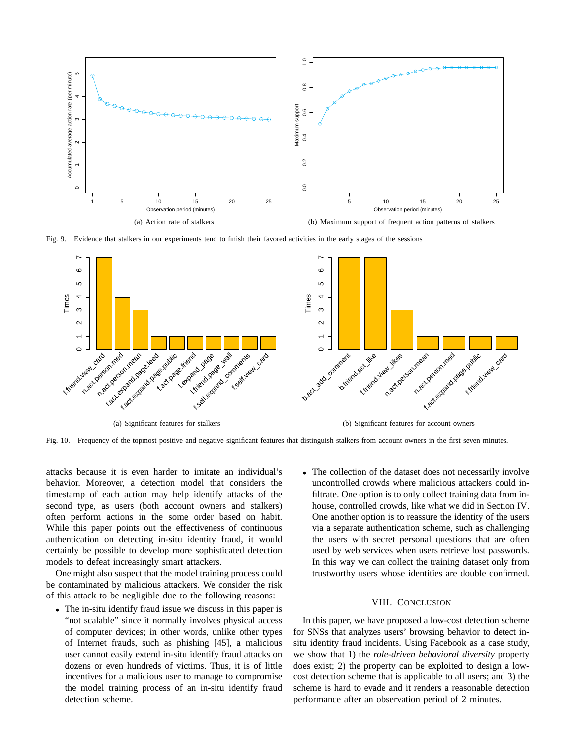

Fig. 9. Evidence that stalkers in our experiments tend to finish their favored activities in the early stages of the sessions



Fig. 10. Frequency of the topmost positive and negative significant features that distinguish stalkers from account owners in the first seven minutes.

attacks because it is even harder to imitate an individual's behavior. Moreover, a detection model that considers the timestamp of each action may help identify attacks of the second type, as users (both account owners and stalkers) often perform actions in the some order based on habit. While this paper points out the effectiveness of continuous authentication on detecting in-situ identity fraud, it would certainly be possible to develop more sophisticated detection models to defeat increasingly smart attackers.

One might also suspect that the model training process could be contaminated by malicious attackers. We consider the risk of this attack to be negligible due to the following reasons:

- The in-situ identify fraud issue we discuss in this paper is "not scalable" since it normally involves physical access of computer devices; in other words, unlike other types of Internet frauds, such as phishing [45], a malicious user cannot easily extend in-situ identify fraud attacks on dozens or even hundreds of victims. Thus, it is of little incentives for a malicious user to manage to compromise the model training process of an in-situ identify fraud detection scheme.
- The collection of the dataset does not necessarily involve uncontrolled crowds where malicious attackers could infiltrate. One option is to only collect training data from inhouse, controlled crowds, like what we did in Section IV. One another option is to reassure the identity of the users via a separate authentication scheme, such as challenging the users with secret personal questions that are often used by web services when users retrieve lost passwords. In this way we can collect the training dataset only from trustworthy users whose identities are double confirmed.

# VIII. CONCLUSION

In this paper, we have proposed a low-cost detection scheme for SNSs that analyzes users' browsing behavior to detect insitu identity fraud incidents. Using Facebook as a case study, we show that 1) the *role-driven behavioral diversity* property does exist; 2) the property can be exploited to design a lowcost detection scheme that is applicable to all users; and 3) the scheme is hard to evade and it renders a reasonable detection performance after an observation period of 2 minutes.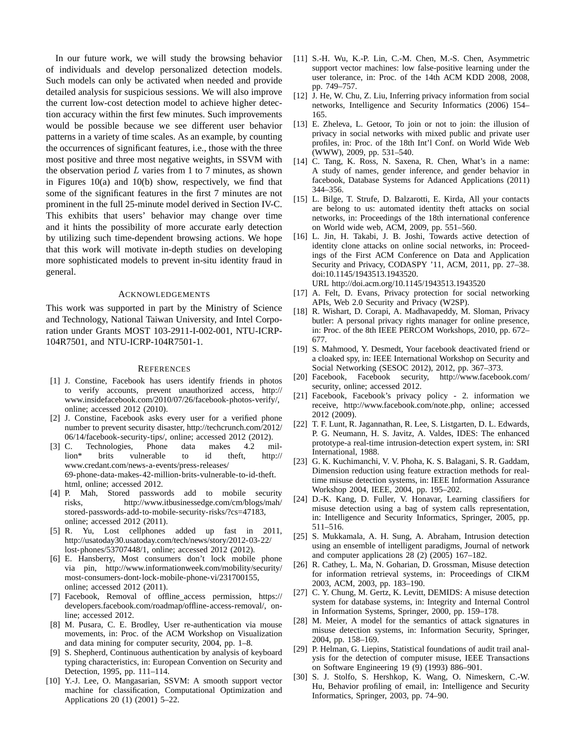In our future work, we will study the browsing behavior of individuals and develop personalized detection models. Such models can only be activated when needed and provide detailed analysis for suspicious sessions. We will also improve the current low-cost detection model to achieve higher detection accuracy within the first few minutes. Such improvements would be possible because we see different user behavior patterns in a variety of time scales. As an example, by counting the occurrences of significant features, i.e., those with the three most positive and three most negative weights, in SSVM with the observation period  $L$  varies from 1 to 7 minutes, as shown in Figures 10(a) and 10(b) show, respectively, we find that some of the significant features in the first 7 minutes are not prominent in the full 25-minute model derived in Section IV-C. This exhibits that users' behavior may change over time and it hints the possibility of more accurate early detection by utilizing such time-dependent browsing actions. We hope that this work will motivate in-depth studies on developing more sophisticated models to prevent in-situ identity fraud in general.

## ACKNOWLEDGEMENTS

This work was supported in part by the Ministry of Science and Technology, National Taiwan University, and Intel Corporation under Grants MOST 103-2911-I-002-001, NTU-ICRP-104R7501, and NTU-ICRP-104R7501-1.

#### **REFERENCES**

- [1] J. Constine, Facebook has users identify friends in photos to verify accounts, prevent unauthorized access, http:// www.insidefacebook.com/2010/07/26/facebook-photos-verify/, online; accessed 2012 (2010).
- [2] J. Constine, Facebook asks every user for a verified phone number to prevent security disaster, http://techcrunch.com/2012/ 06/14/facebook-security-tips/, online; accessed 2012 (2012).
- [3] C. Technologies, Phone data makes 4.2 million\* brits vulnerable to id theft, http:// www.credant.com/news-a-events/press-releases/ 69-phone-data-makes-42-million-brits-vulnerable-to-id-theft. html, online; accessed 2012.
- [4] P. Mah, Stored passwords add to mobile security risks, http://www.itbusinessedge.com/cm/blogs/mah/ stored-passwords-add-to-mobile-security-risks/?cs=47183, online; accessed 2012 (2011).
- [5] R. Yu, Lost cellphones added up fast in 2011, http://usatoday30.usatoday.com/tech/news/story/2012-03-22/ lost-phones/53707448/1, online; accessed 2012 (2012).
- [6] E. Hansberry, Most consumers don't lock mobile phone via pin, http://www.informationweek.com/mobility/security/ most-consumers-dont-lock-mobile-phone-vi/231700155, online; accessed 2012 (2011).
- [7] Facebook, Removal of offline access permission, https:// developers.facebook.com/roadmap/offline-access-removal/, online; accessed 2012.
- [8] M. Pusara, C. E. Brodley, User re-authentication via mouse movements, in: Proc. of the ACM Workshop on Visualization and data mining for computer security, 2004, pp. 1–8.
- [9] S. Shepherd, Continuous authentication by analysis of keyboard typing characteristics, in: European Convention on Security and Detection, 1995, pp. 111–114.
- [10] Y.-J. Lee, O. Mangasarian, SSVM: A smooth support vector machine for classification, Computational Optimization and Applications 20 (1) (2001) 5–22.
- [11] S.-H. Wu, K.-P. Lin, C.-M. Chen, M.-S. Chen, Asymmetric support vector machines: low false-positive learning under the user tolerance, in: Proc. of the 14th ACM KDD 2008, 2008, pp. 749–757.
- [12] J. He, W. Chu, Z. Liu, Inferring privacy information from social networks, Intelligence and Security Informatics (2006) 154– 165.
- [13] E. Zheleva, L. Getoor, To join or not to join: the illusion of privacy in social networks with mixed public and private user profiles, in: Proc. of the 18th Int'l Conf. on World Wide Web (WWW), 2009, pp. 531–540.
- [14] C. Tang, K. Ross, N. Saxena, R. Chen, What's in a name: A study of names, gender inference, and gender behavior in facebook, Database Systems for Adanced Applications (2011) 344–356.
- [15] L. Bilge, T. Strufe, D. Balzarotti, E. Kirda, All your contacts are belong to us: automated identity theft attacks on social networks, in: Proceedings of the 18th international conference on World wide web, ACM, 2009, pp. 551–560.
- [16] L. Jin, H. Takabi, J. B. Joshi, Towards active detection of identity clone attacks on online social networks, in: Proceedings of the First ACM Conference on Data and Application Security and Privacy, CODASPY '11, ACM, 2011, pp. 27–38. doi:10.1145/1943513.1943520. URL http://doi.acm.org/10.1145/1943513.1943520

- [17] A. Felt, D. Evans, Privacy protection for social networking APIs, Web 2.0 Security and Privacy (W2SP).
- [18] R. Wishart, D. Corapi, A. Madhavapeddy, M. Sloman, Privacy butler: A personal privacy rights manager for online presence, in: Proc. of the 8th IEEE PERCOM Workshops, 2010, pp. 672– 677.
- [19] S. Mahmood, Y. Desmedt, Your facebook deactivated friend or a cloaked spy, in: IEEE International Workshop on Security and Social Networking (SESOC 2012), 2012, pp. 367–373.
- [20] Facebook, Facebook security, http://www.facebook.com/ security, online; accessed 2012.
- [21] Facebook, Facebook's privacy policy 2. information we receive, http://www.facebook.com/note.php, online; accessed 2012 (2009).
- [22] T. F. Lunt, R. Jagannathan, R. Lee, S. Listgarten, D. L. Edwards, P. G. Neumann, H. S. Javitz, A. Valdes, IDES: The enhanced prototype-a real-time intrusion-detection expert system, in: SRI International, 1988.
- [23] G. K. Kuchimanchi, V. V. Phoha, K. S. Balagani, S. R. Gaddam, Dimension reduction using feature extraction methods for realtime misuse detection systems, in: IEEE Information Assurance Workshop 2004, IEEE, 2004, pp. 195–202.
- [24] D.-K. Kang, D. Fuller, V. Honavar, Learning classifiers for misuse detection using a bag of system calls representation, in: Intelligence and Security Informatics, Springer, 2005, pp. 511–516.
- [25] S. Mukkamala, A. H. Sung, A. Abraham, Intrusion detection using an ensemble of intelligent paradigms, Journal of network and computer applications 28 (2) (2005) 167–182.
- [26] R. Cathey, L. Ma, N. Goharian, D. Grossman, Misuse detection for information retrieval systems, in: Proceedings of CIKM 2003, ACM, 2003, pp. 183–190.
- [27] C. Y. Chung, M. Gertz, K. Levitt, DEMIDS: A misuse detection system for database systems, in: Integrity and Internal Control in Information Systems, Springer, 2000, pp. 159–178.
- [28] M. Meier, A model for the semantics of attack signatures in misuse detection systems, in: Information Security, Springer, 2004, pp. 158–169.
- [29] P. Helman, G. Liepins, Statistical foundations of audit trail analysis for the detection of computer misuse, IEEE Transactions on Software Engineering 19 (9) (1993) 886–901.
- [30] S. J. Stolfo, S. Hershkop, K. Wang, O. Nimeskern, C.-W. Hu, Behavior profiling of email, in: Intelligence and Security Informatics, Springer, 2003, pp. 74–90.